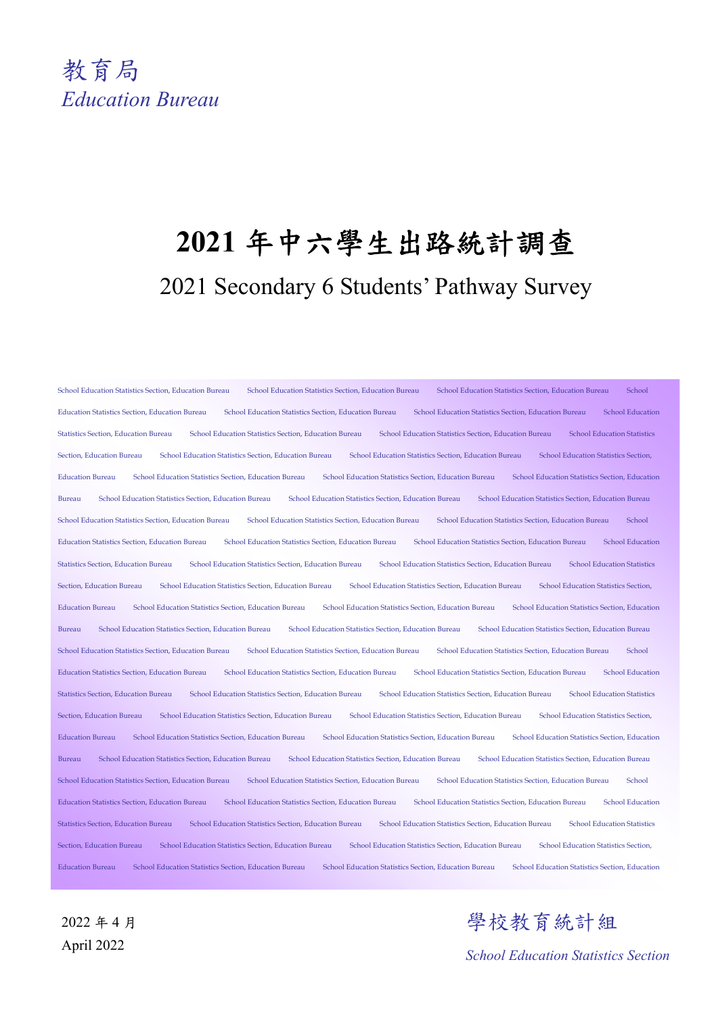

# **2021** 年中六學生出路統計調查 2021 Secondary 6 Students' Pathway Survey

School Education Statistics Section, Education Bureau School Education Statistics Section, Education Bureau School Education Statistics Section, Education Bureau School Education Statistics Section, Education Bureau School Education Statistics Section, Education Bureau School Education Statistics Section, Education Bureau School Education Statistics Section, Education Bureau School Education Statistics Section, Education Bureau School Education Statistics Section, Education Bureau School Education Statistics Section, Education Bureau School Education Statistics Section, Education Bureau School Education Statistics Section, Education Bureau School Education Statistics Section, Education Bureau School Education Statistics Section, Education Bureau School Education Statistics Section, Education Bureau School Education Statistics Section, Education Bureau School Education Statistics Section, Education Bureau School Education Statistics Section, Education Bureau School Education Statistics Section, Education Bureau School Education Statistics Section, Education Bureau School Education Statistics Section, Education Bureau School Education Statistics Section, Education Bureau School Education Statistics Section, Education Bureau School Education Statistics Section, Education Bureau School Education Statistics Section, Education Bureau School Education Statistics Section, Education Bureau School Education Statistics Section, Education Bureau School Education Statistics Section, Education Bureau School Education Statistics Section, Education Bureau School Education Statistics Section, Education Bureau School Education Statistics Section, Education Bureau School Education Statistics Section, Education Bureau School Education Statistics Section, Education Bureau School Education Statistics Section, Education Bureau School Education Statistics Section, Education Bureau School Education Statistics Section, Education Bureau School Education Statistics Section, Education Statistics Section, Education Bureau School Education Statistics Section, Education Bureau School Education Statistics Section, Education Bureau School Education Statistics Section, Education Bureau School Education Statistics Section, Education Bureau School Education Statistics Section, Education Bureau School Education Statistics Section, Education Bureau School Education Statistics Section, Education Bureau School Education Statistics Section, Education Bureau School Education Statistics Section, Education Bureau School Education Statistics Section, Education Bureau School Education Statistics Section, Education Bureau School Education Statistics Section, Education Bureau School Education Statistics Section, Education Bureau School Education Statistics Section, Education Bureau School Education Statistics Section, Education Bureau School Education Statistics Section, Education Bureau School Education Statistics Section, Education Bureau School Education Statistics Section, Education Bureau School Education Statistics Section, Education Bureau School Education Statistics Section, Education Bureau School Education Statistics Section, Education Bureau School Education Statistics Section, Education Bureau School Education Statistics Section, Education Bureau School Education Statistics Section, Education Bureau School Education Statistics Section, Education Bureau School Education Statistics Section, Education Bureau School Education Statistics Section, Education Bureau School Education Statistics Section, Education Bureau School Education Statistics Section, Education Statistics Section, Education Statistics Section, Education Statistics Section, Educ Section, Education Bureau School Education Statistics Section, Education Bureau School Education Statistics Section, Education Bureau School Education Statistics Section, Education Bureau School Education Statistics Section, Education Bureau School Education Statistics Section, Education Bureau School Education Statistics Section, Education

2022 年 4 月 April 2022

學校教育統計組

*School Education Statistics Section*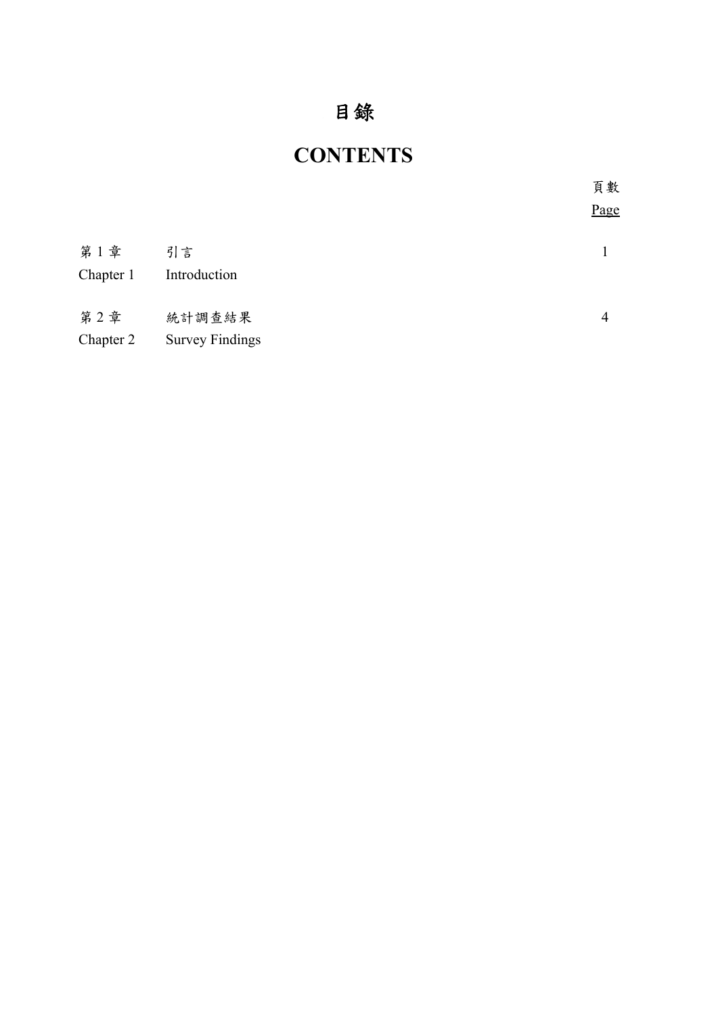## 目錄

## **CONTENTS**

|                  |                                  | 頁數   |
|------------------|----------------------------------|------|
|                  |                                  | Page |
| 第1章<br>Chapter 1 | 引言<br>Introduction               |      |
| 第2章<br>Chapter 2 | 統計調查結果<br><b>Survey Findings</b> | 4    |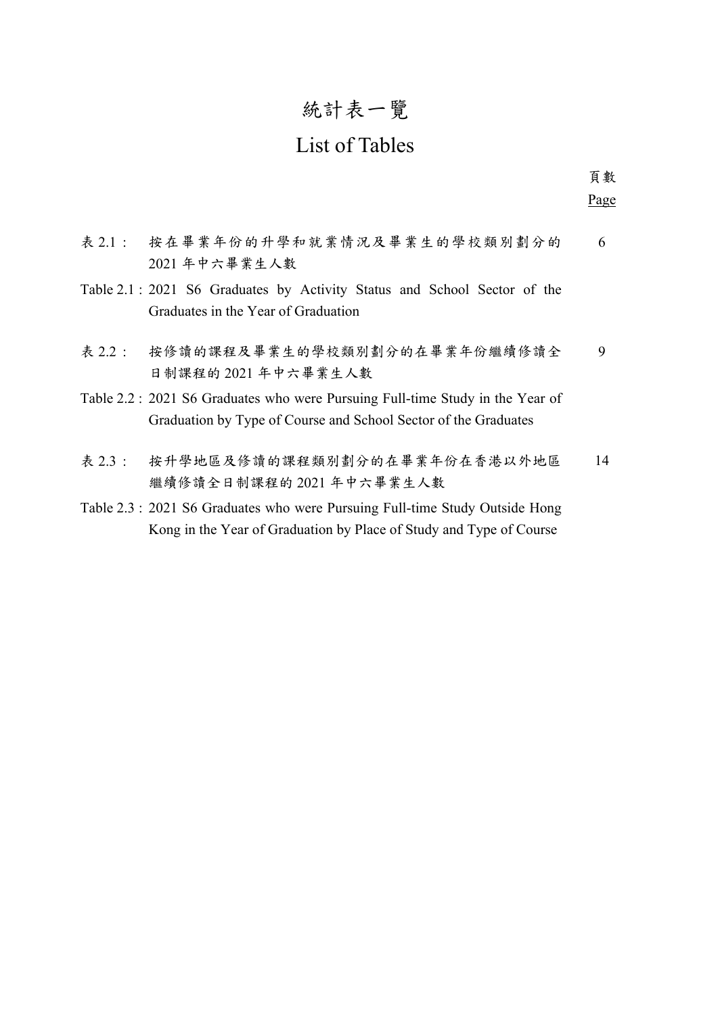## 統計表一覽

## List of Tables

表 2.1 : 按在畢業年份的升學和就業情況及畢業生的學校類別劃分的 2021 年中六畢業生人數 6 Table 2.1 : 2021 S6 Graduates by Activity Status and School Sector of the Graduates in the Year of Graduation 表 2.2 : 按修讀的課程及畢業生的學校類別劃分的在畢業年份繼續修讀全 日制課程的 2021 年中六畢業生人數 9 Table 2.2 : 2021 S6 Graduates who were Pursuing Full-time Study in the Year of Graduation by Type of Course and School Sector of the Graduates 表 2.3 : 按升學地區及修讀的課程類別劃分的在畢業年份在香港以外地區 繼續修讀全日制課程的 2021 年中六畢業生人數 14

Table 2.3 : 2021 S6 Graduates who were Pursuing Full-time Study Outside Hong Kong in the Year of Graduation by Place of Study and Type of Course

 頁數 Page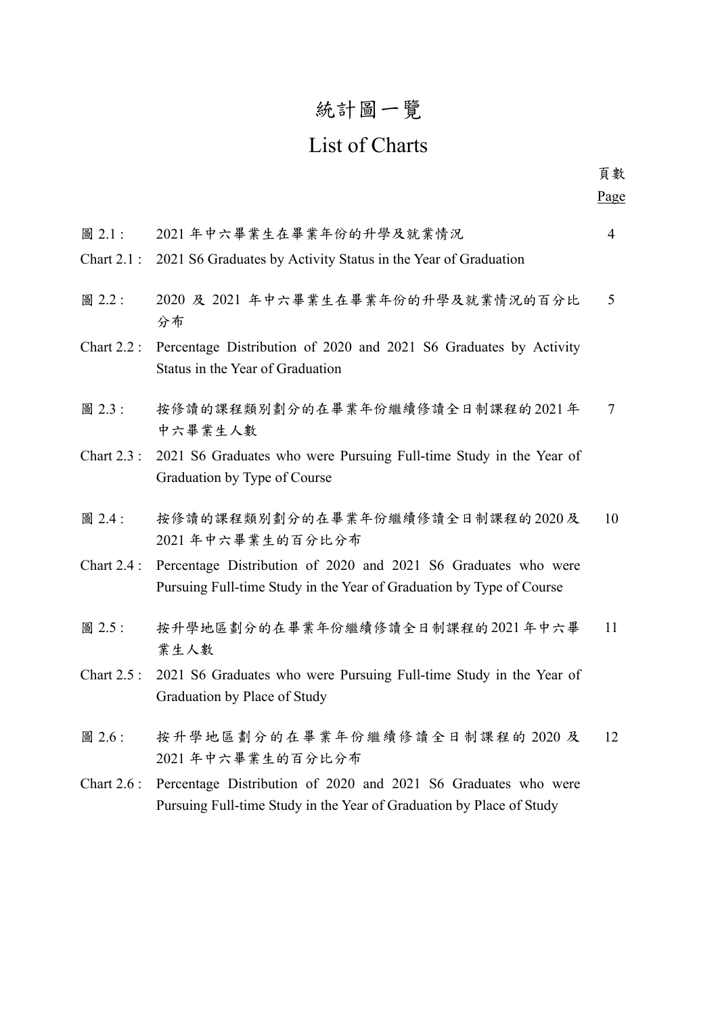## 統計圖一覽

## List of Charts

| 圖 2.1:<br>Chart $2.1$ : | 2021年中六畢業生在畢業年份的升學及就業情況<br>2021 S6 Graduates by Activity Status in the Year of Graduation                                              | $\overline{4}$  |
|-------------------------|----------------------------------------------------------------------------------------------------------------------------------------|-----------------|
| 圖 2.2:                  | 2020 及 2021 年中六畢業生在畢業年份的升學及就業情況的百分比<br>分布                                                                                              | $5\overline{)}$ |
| <b>Chart 2.2:</b>       | Percentage Distribution of 2020 and 2021 S6 Graduates by Activity<br>Status in the Year of Graduation                                  |                 |
| 圖 2.3:                  | 按修讀的課程類別劃分的在畢業年份繼續修讀全日制課程的2021年<br>中六畢業生人數                                                                                             | 7               |
| Chart $2.3$ :           | 2021 S6 Graduates who were Pursuing Full-time Study in the Year of<br>Graduation by Type of Course                                     |                 |
| 圖 2.4:                  | 按修讀的課程類別劃分的在畢業年份繼續修讀全日制課程的2020及<br>2021年中六畢業生的百分比分布                                                                                    | 10              |
| <b>Chart 2.4:</b>       | Percentage Distribution of 2020 and 2021 S6 Graduates who were<br>Pursuing Full-time Study in the Year of Graduation by Type of Course |                 |
| 圖 2.5:                  | 按升學地區劃分的在畢業年份繼續修讀全日制課程的2021年中六畢<br>業生人數                                                                                                | 11              |
| <b>Chart 2.5:</b>       | 2021 S6 Graduates who were Pursuing Full-time Study in the Year of<br>Graduation by Place of Study                                     |                 |
| 圖 2.6:                  | 按升學地區劃分的在畢業年份繼續修讀全日制課程的 2020 及<br>2021年中六畢業生的百分比分布                                                                                     | 12              |
| <b>Chart 2.6:</b>       | Percentage Distribution of 2020 and 2021 S6 Graduates who were<br>Pursuing Full-time Study in the Year of Graduation by Place of Study |                 |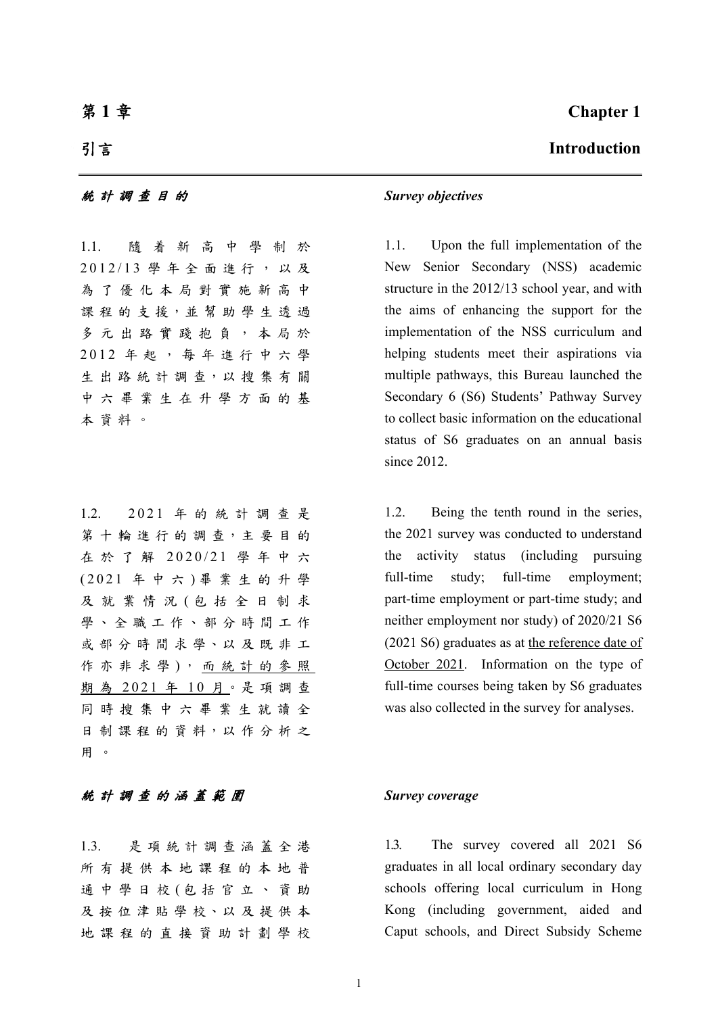### 第 **1** 章

### 引言

### 統計調查目的 *Survey objectives*

1.1. 隨着新高中學制於 2012/13 學年全面進行,以及 為了優化本局對實施新高中 課程的支援,並幫助學生透過 多元出路實踐抱負,本局於 2012 年起,每年進行中六學 生出路統計調查,以搜集有關 中六畢業生在升學方面的基 本資料。

1.2. 2021 年的統計調查是 第十輪進行的調查,主要目的 在於了解 2020/21 學年中六 (2021 年中六 ) 畢業生的升學 及就業情況 (包括全日制求 學、全職工作、部分時間工作 或部分時間求學、以及既非工 作亦非求學),而統計的參照 期為 2021年10月。是項調查 同時搜集中六畢業生就讀全 日 制 課 程 的 資 料,以 作 分 析 之 用 。

### 統計調查的涵蓋範圍 *Survey coverage*

1.3. 是項統計調查涵蓋全港 所有提供本地課程的本地普 通中學日校 (包括官立、資助 及 按 位 津 貼 學 校、以 及 提 供 本 地課程的直接資助計劃學校

### **Chapter 1**

### **Introduction**

 1.1. Upon the full implementation of the New Senior Secondary (NSS) academic structure in the 2012/13 school year, and with the aims of enhancing the support for the implementation of the NSS curriculum and helping students meet their aspirations via multiple pathways, this Bureau launched the Secondary 6 (S6) Students' Pathway Survey to collect basic information on the educational status of S6 graduates on an annual basis since 2012.

 1.2. Being the tenth round in the series, the 2021 survey was conducted to understand the activity status (including pursuing full-time study; full-time employment; part-time employment or part-time study; and neither employment nor study) of 2020/21 S6 (2021 S6) graduates as at the reference date of October 2021. Information on the type of full-time courses being taken by S6 graduates was also collected in the survey for analyses.

1.3. The survey covered all 2021 S6 graduates in all local ordinary secondary day schools offering local curriculum in Hong Kong (including government, aided and Caput schools, and Direct Subsidy Scheme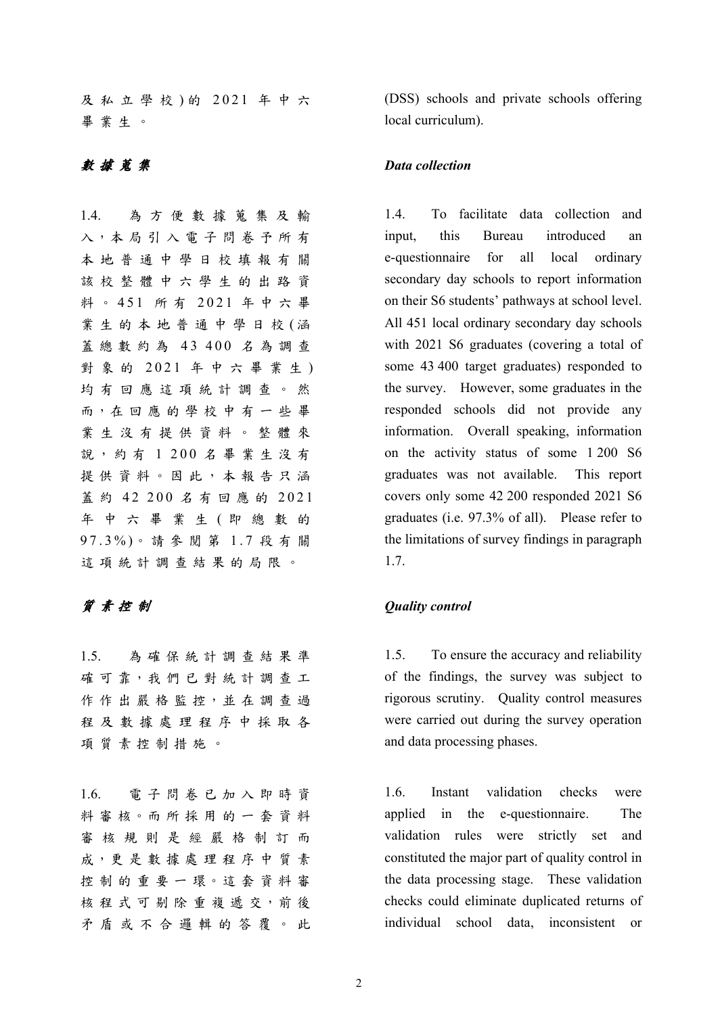及私立學校 ) 的 2021 年中六 畢業生。

1.4. 為方便數據蒐集及輸 入,本局引入電子問卷予所有 本地普通中學日校填報有關 該校整體中六學生的出路資 料 。 451 所 有 2021 年中六畢 業生的本地普通中學日校 (涵 蓋總數約為 43 400 名為調查 對象的 2021 年中六畢業生) 均有回應這項統計調查。然 而,在 回 應 的 學 校 中 有 一 些 畢 業生沒有提供資料。整體來 說,約有 1 200 名畢業生沒有 提供資料。因此,本報告只涵 蓋 約 42 200 名有回應的 2021 年中六畢業生 ( 即總數的 97.3%)。請參閱第 1.7 段有關 這項統計調查結果的局限。

1.5. 為確保統計調查結果準 確可靠,我們已對統計調查工 作作出嚴格監控,並在調查過 程及數據處理程序中採取各 項質素控制措施。

1.6. 電子問卷已加入即時資 料 審 核。而 所 採 用 的 一 套 資 料 審核規則是經嚴格制訂而 成,更是數據處理程序中質素 控 制 的 重 要 一 環。這 套 資 料 審 核 程 式 可 剔 除 重 複 遞 交, 前 後 矛盾或不合邏輯的答覆。此

(DSS) schools and private schools offering local curriculum).

### 數據蒐集 *Data collection*

 1.4. To facilitate data collection and input, this Bureau introduced an e-questionnaire for all local ordinary secondary day schools to report information on their S6 students' pathways at school level. All 451 local ordinary secondary day schools with 2021 S6 graduates (covering a total of some 43 400 target graduates) responded to the survey. However, some graduates in the responded schools did not provide any information. Overall speaking, information on the activity status of some 1 200 S6 graduates was not available. This report covers only some 42 200 responded 2021 S6 graduates (i.e. 97.3% of all). Please refer to the limitations of survey findings in paragraph 1.7.

### 質素控制 *Quality control*

1.5. To ensure the accuracy and reliability of the findings, the survey was subject to rigorous scrutiny. Quality control measures were carried out during the survey operation and data processing phases.

 1.6. Instant validation checks were applied in the e-questionnaire. The validation rules were strictly set and constituted the major part of quality control in the data processing stage. These validation checks could eliminate duplicated returns of individual school data, inconsistent or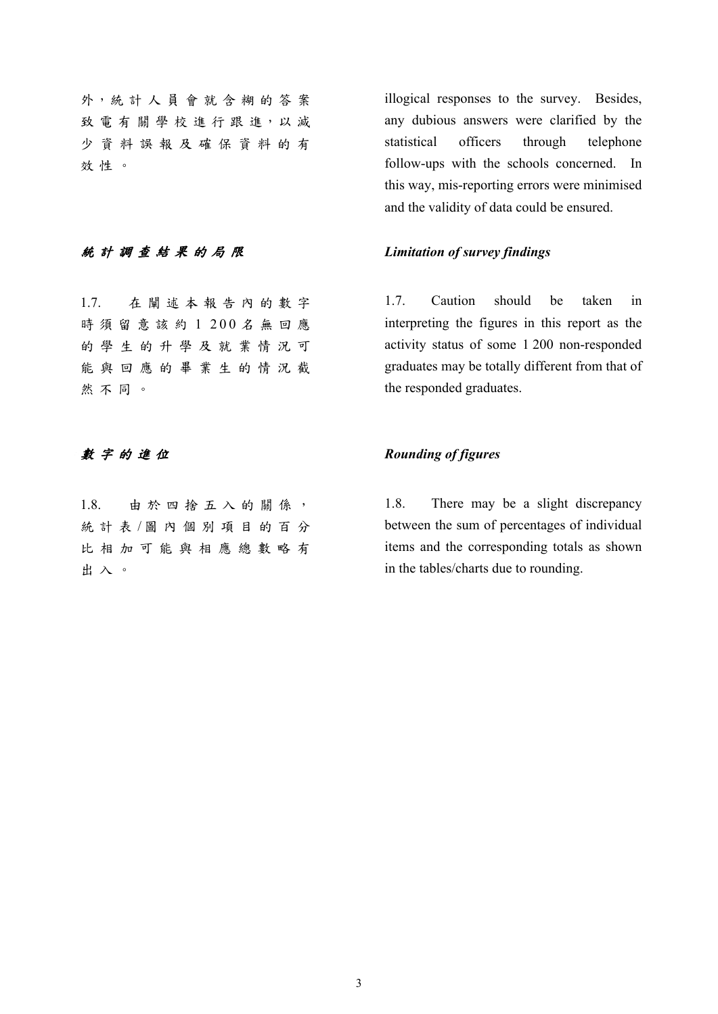外,統 計 人 員 會 就 含 糊 的 答 案 致電有關學校進行跟進,以減 少資料誤報及確保資料的有 效性。

### 統計調查結果的局限 *Limitation of survey findings*

1.7. 在闡述本報告內的數字 時須留意該約 1 200 名無回應 的學生的升學及就業情況可 能與回應的畢業生的情況截 然不同。

1.8. 由於四捨五入的關係, 統計表/圖內個別項目的百分 比相加可能與相應總數略有 出入。

illogical responses to the survey. Besides, any dubious answers were clarified by the statistical officers through telephone follow-ups with the schools concerned. In this way, mis-reporting errors were minimised and the validity of data could be ensured.

 1.7. Caution should be taken in interpreting the figures in this report as the activity status of some 1 200 non-responded graduates may be totally different from that of the responded graduates.

### 數字的進位 *Rounding of figures*

 1.8. There may be a slight discrepancy between the sum of percentages of individual items and the corresponding totals as shown in the tables/charts due to rounding.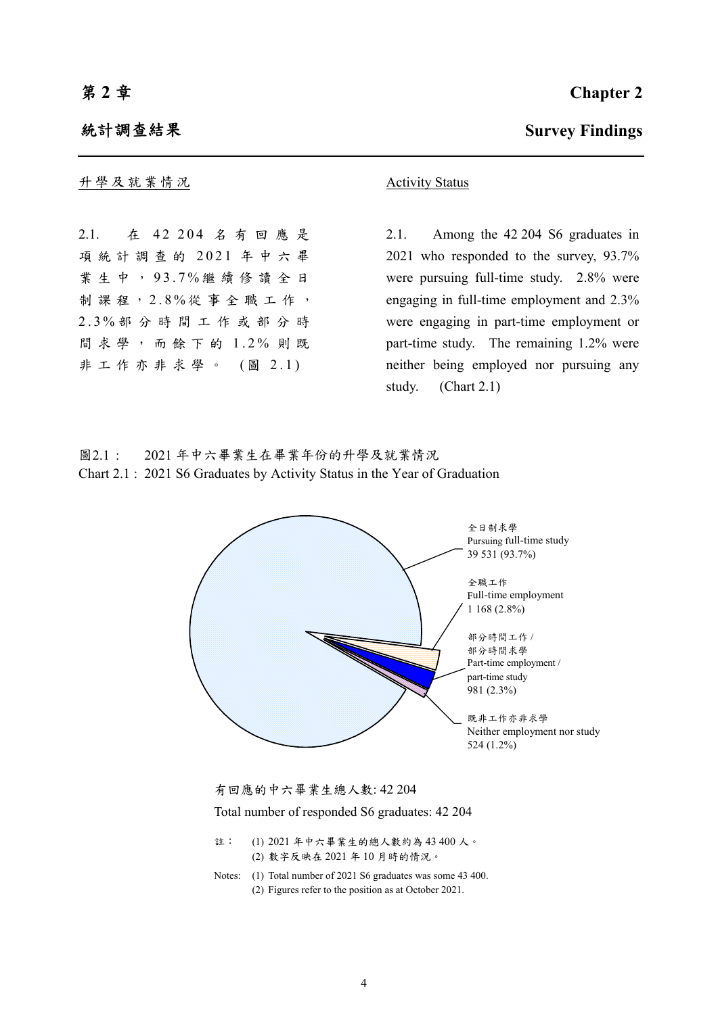### 統計調查結果

升學及就業情況 <br>
Activity Status

2.1. 在 42 204 名有回應是 項統計調查的 2021 年中六畢 業生中, 93.7% 繼續修讀全日 制課程, 2.8% 從事全職工作, 2.3% 部分時間工作或部分時 間求學,而餘下的 1.2% 則 既 非工作亦非求學。 (圖 2.1)



2.1. Among the 42 204 S6 graduates in 2021 who responded to the survey, 93.7% were pursuing full-time study. 2.8% were engaging in full-time employment and 2.3% were engaging in part-time employment or part-time study. The remaining 1.2% were neither being employed nor pursuing any study. (Chart 2.1)

圖2.1 : 2021 年中六畢業生在畢業年份的升學及就業情況 Chart 2.1 : 2021 S6 Graduates by Activity Status in the Year of Graduation





Total number of responded S6 graduates: 42 204

- 註: (1) 2021 年中六畢業生的總人數約為 43 400 人。 (2) 數字反映在 2021 年 10 月時的情況。
- Notes: (1) Total number of 2021 S6 graduates was some 43 400. (2) Figures refer to the position as at October 2021.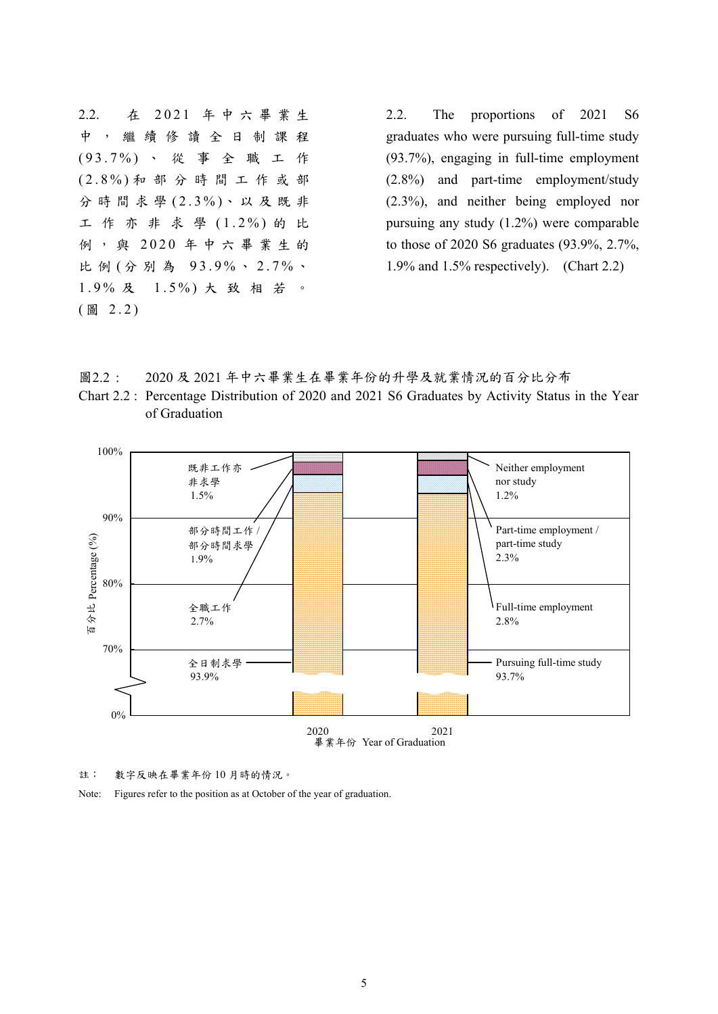2.2. 在 2021 年中六畢業生 中,繼續修讀全日制課程 (93.7%) 、從事全職工作 (2.8%) 和部分時間工作或部 分時間求學 (2.3%)、以及既非 工作亦非求學 (1.2%) 的 比 例,與 2020 年中六畢業生的 比例 (分別為 93.9%、2.7%、 1.9% 及 1.5%) 大致相若。 ( 圖 2.2)

2.2. The proportions of 2021 S6 graduates who were pursuing full-time study (93.7%), engaging in full-time employment (2.8%) and part-time employment/study (2.3%), and neither being employed nor pursuing any study (1.2%) were comparable to those of 2020 S6 graduates (93.9%, 2.7%, 1.9% and 1.5% respectively). (Chart 2.2)

圖2.2 : 2020 及 2021 年中六畢業生在畢業年份的升學及就業情況的百分比分布

Chart 2.2 : Percentage Distribution of 2020 and 2021 S6 Graduates by Activity Status in the Year of Graduation



註: 數字反映在畢業年份 10 月時的情況。

Note: Figures refer to the position as at October of the year of graduation.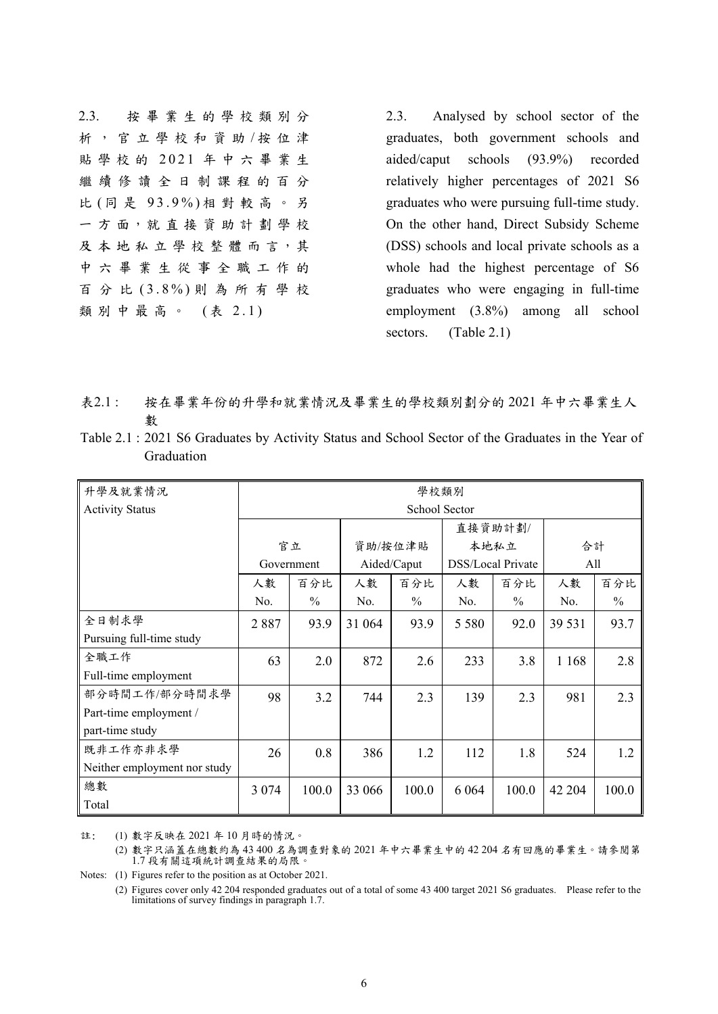2.3. 按畢業生的學校類別分 析,官立學校和資助/按位津 貼學校的 2021 年中六畢業生 繼續修讀全日制課程的百分 比 ( 同 是 93.9%) 相對較高。另 一 方 面,就 直 接 資 助 計 劃 學 校 及本地私立學校整體而言,其 中六畢業生從事全職工作的 百分比 (3.8%) 則為所有學校 類別中最高。 (表 2.1)

2.3. Analysed by school sector of the graduates, both government schools and aided/caput schools (93.9%) recorded relatively higher percentages of 2021 S6 graduates who were pursuing full-time study. On the other hand, Direct Subsidy Scheme (DSS) schools and local private schools as a whole had the highest percentage of S6 graduates who were engaging in full-time employment (3.8%) among all school sectors. (Table 2.1)

- 表2.1 : 按在畢業年份的升學和就業情況及畢業生的學校類別劃分的 2021 年中六畢業生人 數
- Table 2.1 : 2021 S6 Graduates by Activity Status and School Sector of the Graduates in the Year of Graduation

| 升學及就業情況                      | 學校類別          |               |             |               |                   |               |         |               |  |  |
|------------------------------|---------------|---------------|-------------|---------------|-------------------|---------------|---------|---------------|--|--|
| <b>Activity Status</b>       | School Sector |               |             |               |                   |               |         |               |  |  |
|                              |               |               |             |               | 直接資助計劃/           |               |         |               |  |  |
|                              | 官立            |               | 資助/按位津貼     |               | 本地私立              |               | 合計      |               |  |  |
|                              |               | Government    | Aided/Caput |               | DSS/Local Private |               | All     |               |  |  |
|                              | 人數            | 百分比           | 人數          | 百分比           | 人數                | 百分比           | 人數      | 百分比           |  |  |
|                              | No.           | $\frac{0}{0}$ | No.         | $\frac{0}{0}$ | No.               | $\frac{0}{0}$ | No.     | $\frac{0}{0}$ |  |  |
| 全日制求學                        | 2887          | 93.9          | 31 064      | 93.9          | 5 5 8 0           | 92.0          | 39 531  | 93.7          |  |  |
| Pursuing full-time study     |               |               |             |               |                   |               |         |               |  |  |
| 全職工作                         | 63            | 2.0           | 872         | 2.6           | 233               | 3.8           | 1 1 6 8 | 2.8           |  |  |
| Full-time employment         |               |               |             |               |                   |               |         |               |  |  |
| 部分時間工作/部分時間求學                | 98            | 3.2           | 744         | 2.3           | 139               | 2.3           | 981     | 2.3           |  |  |
| Part-time employment /       |               |               |             |               |                   |               |         |               |  |  |
| part-time study              |               |               |             |               |                   |               |         |               |  |  |
| 既非工作亦非求學                     | 26            | 0.8           | 386         | 1.2           | 112               | 1.8           | 524     | 1.2           |  |  |
| Neither employment nor study |               |               |             |               |                   |               |         |               |  |  |
| 總數                           | 3 0 7 4       | 100.0         | 33 066      | 100.0         | 6 0 6 4           | 100.0         | 42 204  | 100.0         |  |  |
| Total                        |               |               |             |               |                   |               |         |               |  |  |

註: (1) 數字反映在 2021 年 10 月時的情況。

 (2) 數字只涵蓋在總數約為 43 400 名為調查對象的 2021 年中六畢業生中的 42 204 名有回應的畢業生。請參閱第 1.7 段有關這項統計調查結果的局限。

Notes: (1) Figures refer to the position as at October 2021.

 (2) Figures cover only 42 204 responded graduates out of a total of some 43 400 target 2021 S6 graduates. Please refer to the limitations of survey findings in paragraph 1.7.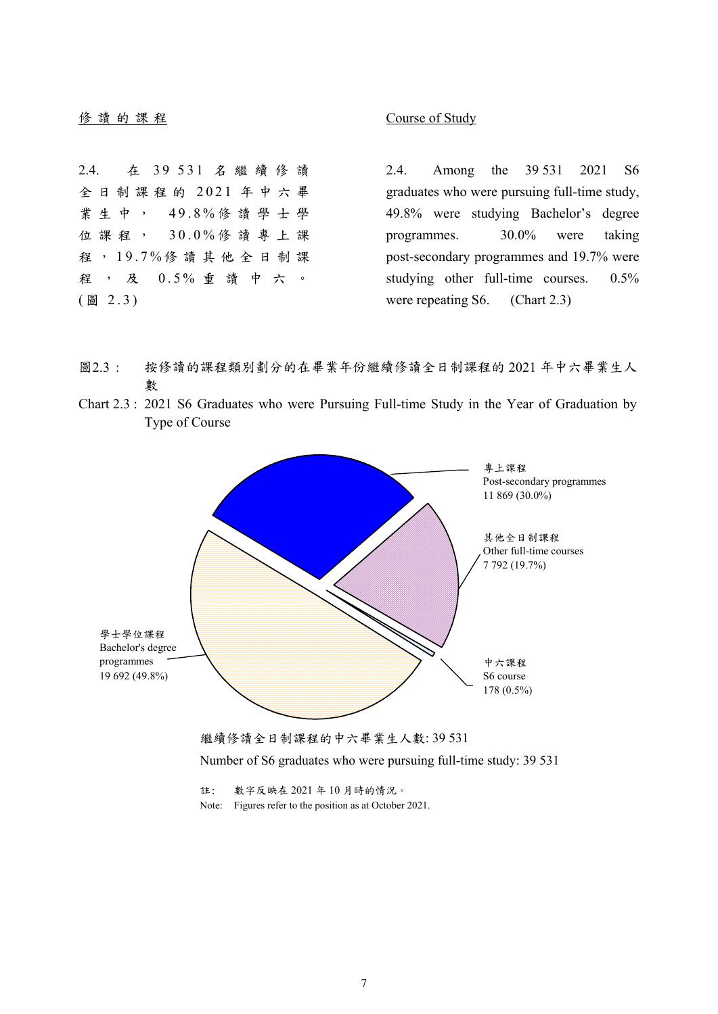**修讀的課程 Course of Study** 

2.4. 在 39 531 名繼續修讀 全日制課程的 2021 年中六畢 業生中, 49.8% 修讀學士學 位課程, 30.0% 修讀專上課 程 , 19.7% 修讀其他全日制課 程,及 0.5% 重讀中六。  $(B_2 2.3)$ 

2.4. Among the 39 531 2021 S6 graduates who were pursuing full-time study, 49.8% were studying Bachelor's degree programmes. 30.0% were taking post-secondary programmes and 19.7% were studying other full-time courses. 0.5% were repeating S6. (Chart 2.3)

- 圖2.3 : 按修讀的課程類別劃分的在畢業年份繼續修讀全日制課程的 2021 年中六畢業生人 數
- Chart 2.3 : 2021 S6 Graduates who were Pursuing Full-time Study in the Year of Graduation by Type of Course





註: 數字反映在 2021 年 10 月時的情況。 Note: Figures refer to the position as at October 2021.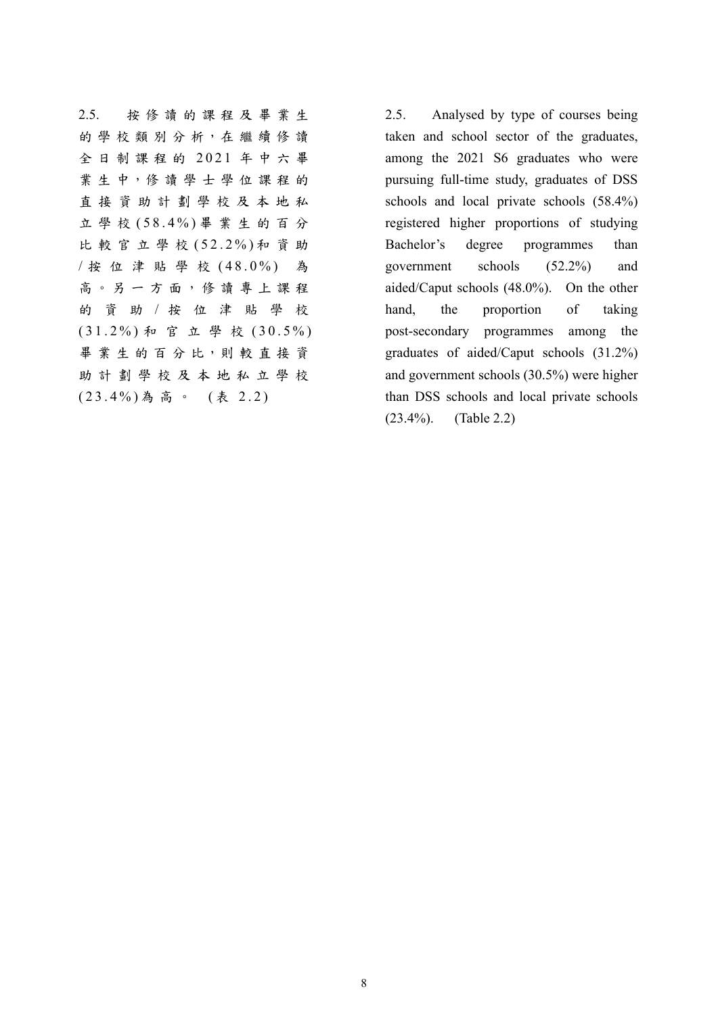2.5. 按修讀的課程及畢業生 的學校類別分析,在繼續修讀 全日制課程的 2021 年中六畢 業生中,修讀學士學位課程的 直接資助計劃學校及本地私 立學校 (58.4%) 畢業生的百分 比較官立學校 (52.2%) 和資助 / 按位津貼學校 (48.0%) 為 高。另一方面,修讀專上課程 的資助 / 按位津貼學校 (31.2%) 和官立學校 (30.5%) 畢業生的百分比,則較直接資 助計劃學校及本地私立學校 (23.4%) 為高。 ( 表 2.2)

2.5. Analysed by type of courses being taken and school sector of the graduates, among the 2021 S6 graduates who were pursuing full-time study, graduates of DSS schools and local private schools (58.4%) registered higher proportions of studying Bachelor's degree programmes than government schools (52.2%) and aided/Caput schools (48.0%). On the other hand, the proportion of taking post-secondary programmes among the graduates of aided/Caput schools (31.2%) and government schools (30.5%) were higher than DSS schools and local private schools (23.4%). (Table 2.2)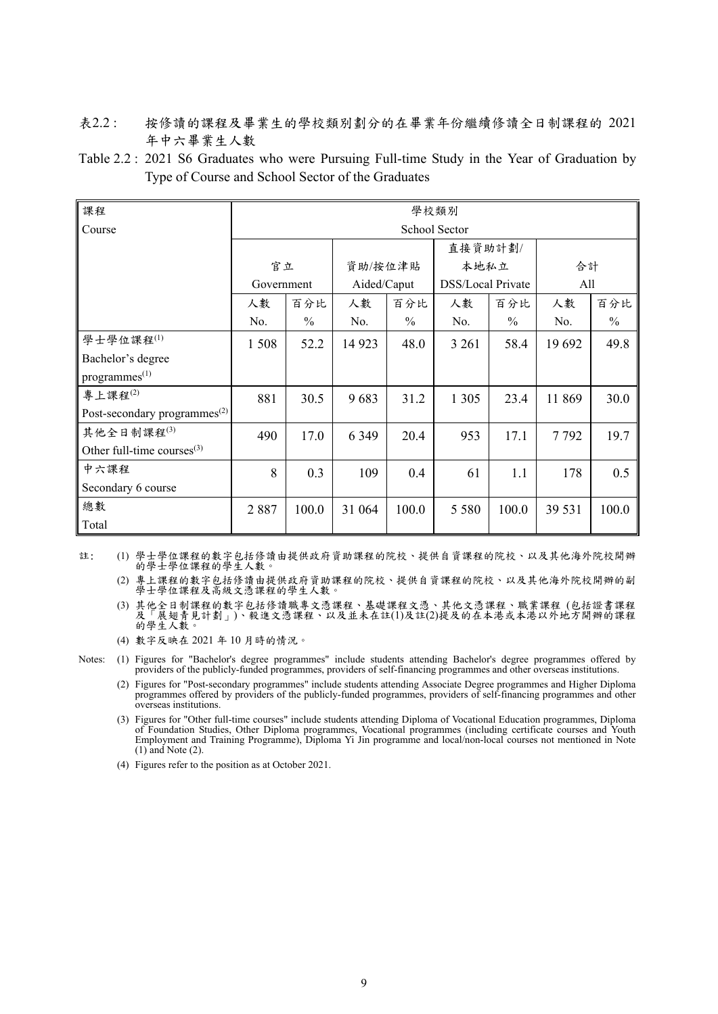- 表2.2 : 按修讀的課程及畢業生的學校類別劃分的在畢業年份繼續修讀全日制課程的 2021 年中六畢業生人數
- Table 2.2 : 2021 S6 Graduates who were Pursuing Full-time Study in the Year of Graduation by Type of Course and School Sector of the Graduates

| 課程                                       | 學校類別          |               |             |               |                   |               |        |               |  |  |
|------------------------------------------|---------------|---------------|-------------|---------------|-------------------|---------------|--------|---------------|--|--|
| Course                                   | School Sector |               |             |               |                   |               |        |               |  |  |
|                                          |               |               |             |               | 直接資助計劃/           |               |        |               |  |  |
|                                          | 官立            |               |             | 資助/按位津貼       |                   | 本地私立          |        | 合計            |  |  |
|                                          | Government    |               | Aided/Caput |               | DSS/Local Private |               | All    |               |  |  |
|                                          | 人數            | 百分比           | 人數          | 百分比           | 人數                | 百分比           | 人數     | 百分比           |  |  |
|                                          | No.           | $\frac{0}{0}$ | No.         | $\frac{0}{0}$ | No.               | $\frac{0}{0}$ | No.    | $\frac{0}{0}$ |  |  |
| 學士學位課程(1)                                | 1508          | 52.2          | 14 9 23     | 48.0          | 3 2 6 1           | 58.4          | 19 692 | 49.8          |  |  |
| Bachelor's degree                        |               |               |             |               |                   |               |        |               |  |  |
| progress <sup>(1)</sup>                  |               |               |             |               |                   |               |        |               |  |  |
| 專上課程 $(2)$                               | 881           | 30.5          | 9683        | 31.2          | 1 3 0 5           | 23.4          | 11 869 | 30.0          |  |  |
| Post-secondary programmes <sup>(2)</sup> |               |               |             |               |                   |               |        |               |  |  |
| 其他全日制課程(3)                               | 490           | 17.0          | 6 3 4 9     | 20.4          | 953               | 17.1          | 7792   | 19.7          |  |  |
| Other full-time courses $^{(3)}$         |               |               |             |               |                   |               |        |               |  |  |
| 中六課程                                     | 8             | 0.3           | 109         | 0.4           | 61                | 1.1           | 178    | 0.5           |  |  |
| Secondary 6 course                       |               |               |             |               |                   |               |        |               |  |  |
| 總數                                       | 2887          | 100.0         | 31 064      | 100.0         | 5 5 8 0           | 100.0         | 39 531 | 100.0         |  |  |
| Total                                    |               |               |             |               |                   |               |        |               |  |  |

註: (1) 學士學位課程的數字包括修讀由提供政府資助課程的院校、提供自資課程的院校、以及其他海外院校開辦 的學士學位課程的學生人數。

(2) 專上課程的數字包括修讀由提供政府資助課程的院校、提供自資課程的院校、以及其他海外院校開辦的副 學士學位課程及高級文憑課程的學生人數。

(3) 其他全日制課程的數字包括修讀職專文憑課程、基礎課程文憑、其他文憑課程、職業課程 (包括證書課程 及「展翅青見計劃」)、毅進文憑課程、以及並未在註(1)及註(2)提及的在本港或本港以外地方開辦的課程 的學生人數。

(4) 數字反映在 2021 年 10 月時的情況。

Notes: (1) Figures for "Bachelor's degree programmes" include students attending Bachelor's degree programmes offered by providers of the publicly-funded programmes, providers of self-financing programmes and other overseas institutions.

 (2) Figures for "Post-secondary programmes" include students attending Associate Degree programmes and Higher Diploma programmes offered by providers of the publicly-funded programmes, providers of self-financing programmes and other overseas institutions.

 (3) Figures for "Other full-time courses" include students attending Diploma of Vocational Education programmes, Diploma of Foundation Studies, Other Diploma programmes, Vocational programmes (including certificate courses and Youth Employment and Training Programme), Diploma Yi Jin programme and local/non-local courses not mentioned in Note  $(1)$  and Note  $(2)$ .

(4) Figures refer to the position as at October 2021.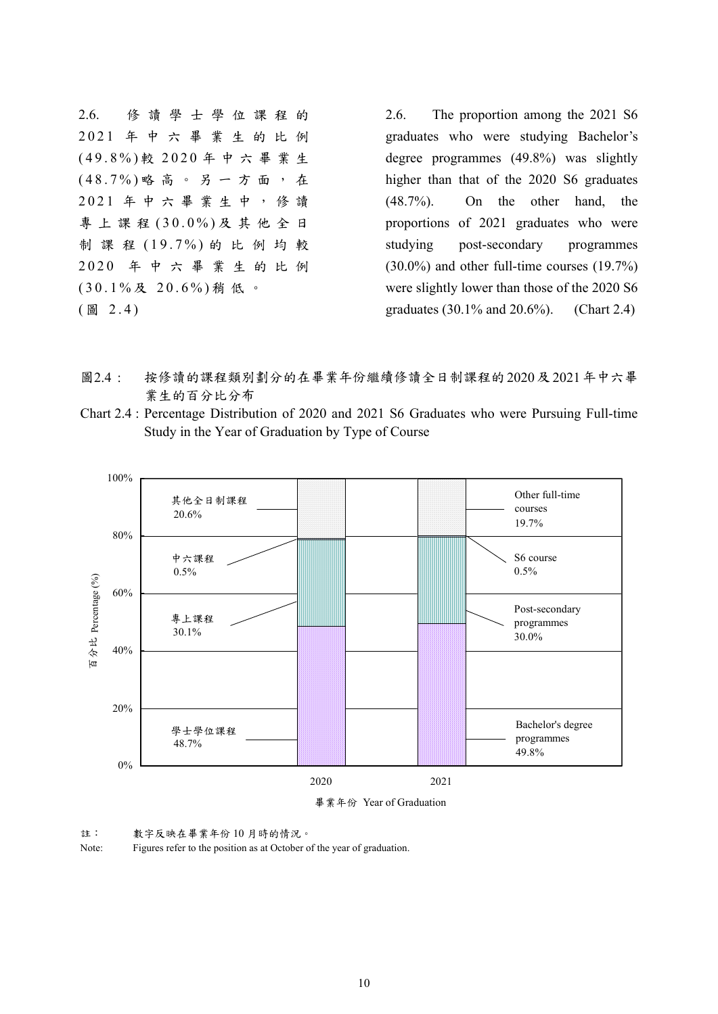2.6. 修讀學士學位課程的 2021 年中六畢業生的比例 (49.8%) 較 2020 年中六畢業生 (48.7%) 略高。另一方面,在 2021 年中六畢業生中,修讀 專上課程 (30.0%) 及其他全日 制課程 (19.7%) 的比例均較 2020 年中六畢業生的比例 (30.1% 及 20.6%) 稍低。 ( 圖 2.4)

2.6. The proportion among the 2021 S6 graduates who were studying Bachelor's degree programmes (49.8%) was slightly higher than that of the 2020 S6 graduates (48.7%). On the other hand, the proportions of 2021 graduates who were studying post-secondary programmes (30.0%) and other full-time courses (19.7%) were slightly lower than those of the 2020 S6 graduates (30.1% and 20.6%). (Chart 2.4)

- 圖2.4 : 按修讀的課程類別劃分的在畢業年份繼續修讀全日制課程的2020及2021年中六畢 業生的百分比分布
- Chart 2.4 : Percentage Distribution of 2020 and 2021 S6 Graduates who were Pursuing Full-time Study in the Year of Graduation by Type of Course



註: 數字反映在畢業年份 10 月時的情況。

Note: Figures refer to the position as at October of the year of graduation.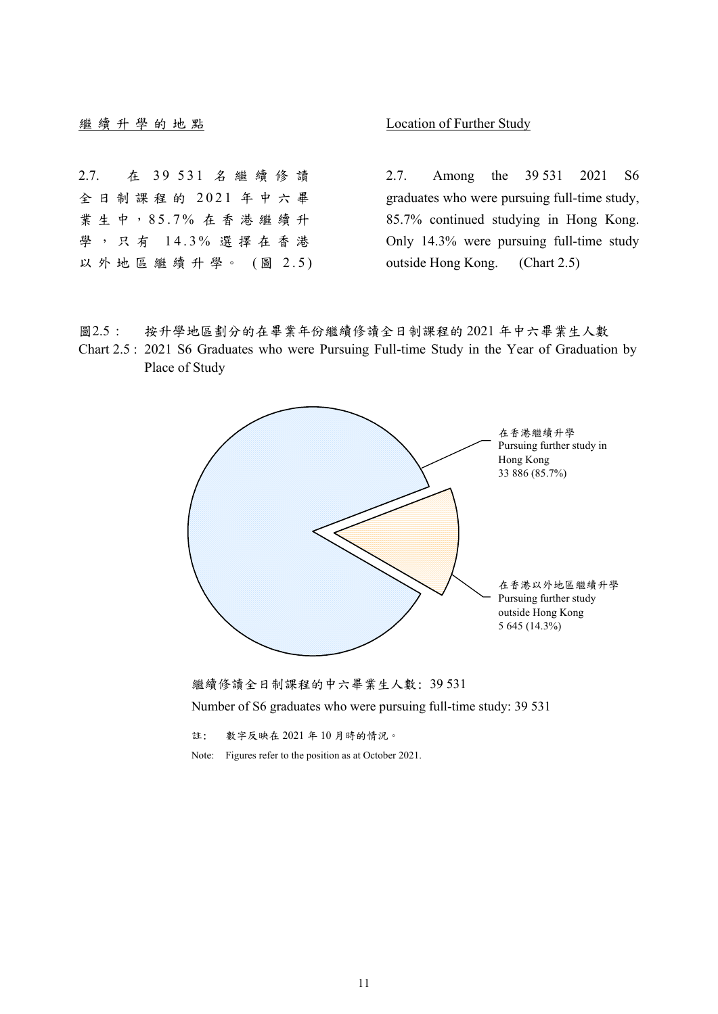### **繼續升學的地點 Location of Further Study**

2.7. 在 39 531 名繼續修讀 全日制課程的 2021 年中六畢 業 生 中, 85.7% 在香港繼續升 學,只有 14.3% 選擇在香港 以外地區繼續升學。 (圖 2.5)

2.7. Among the 39 531 2021 S6 graduates who were pursuing full-time study, 85.7% continued studying in Hong Kong. Only 14.3% were pursuing full-time study outside Hong Kong. (Chart 2.5)

- 圖2.5 : 按升學地區劃分的在畢業年份繼續修讀全日制課程的 2021 年中六畢業生人數
- Chart 2.5 : 2021 S6 Graduates who were Pursuing Full-time Study in the Year of Graduation by Place of Study





註: 數字反映在 2021 年 10 月時的情況。

Note: Figures refer to the position as at October 2021.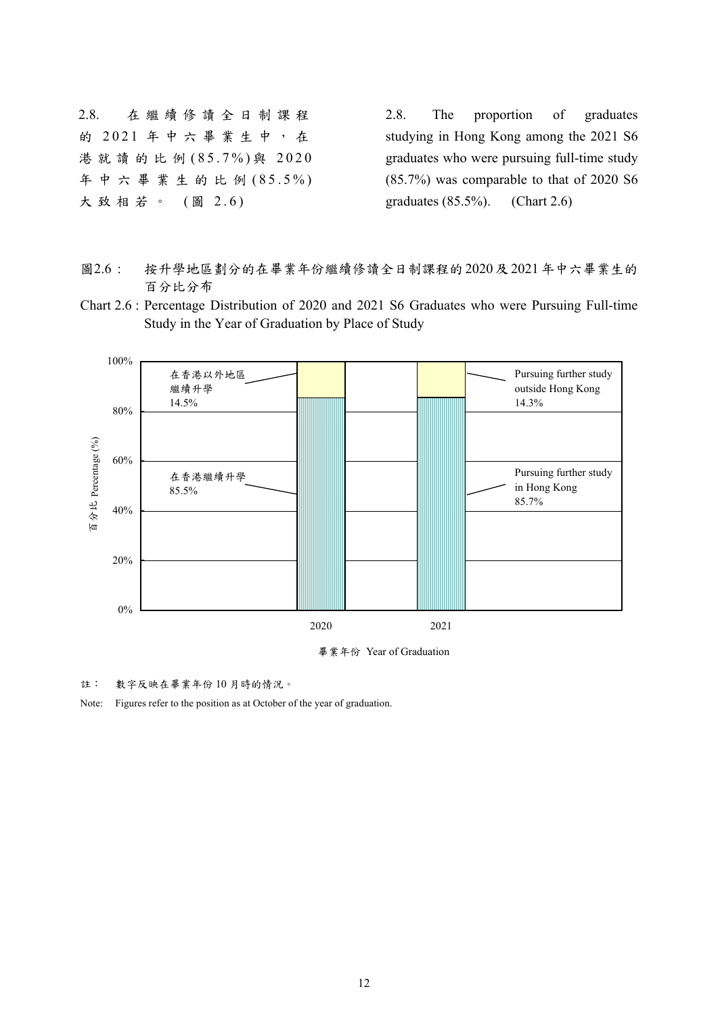2.8. 在繼續修讀全日制課程 的 2021 年中六畢業生中,在 港就讀的比例 (85.7%) 與 2020 年中六畢業生的比例 (85.5%) 大致相若。 (圖 2.6)

2.8. The proportion of graduates studying in Hong Kong among the 2021 S6 graduates who were pursuing full-time study (85.7%) was comparable to that of 2020 S6 graduates (85.5%). (Chart 2.6)

- 圖2.6 : 按升學地區劃分的在畢業年份繼續修讀全日制課程的2020及2021年中六畢業生的 百分比分布
- Chart 2.6 : Percentage Distribution of 2020 and 2021 S6 Graduates who were Pursuing Full-time Study in the Year of Graduation by Place of Study



畢業年份 Year of Graduation

註: 數字反映在畢業年份 10 月時的情況。

Note: Figures refer to the position as at October of the year of graduation.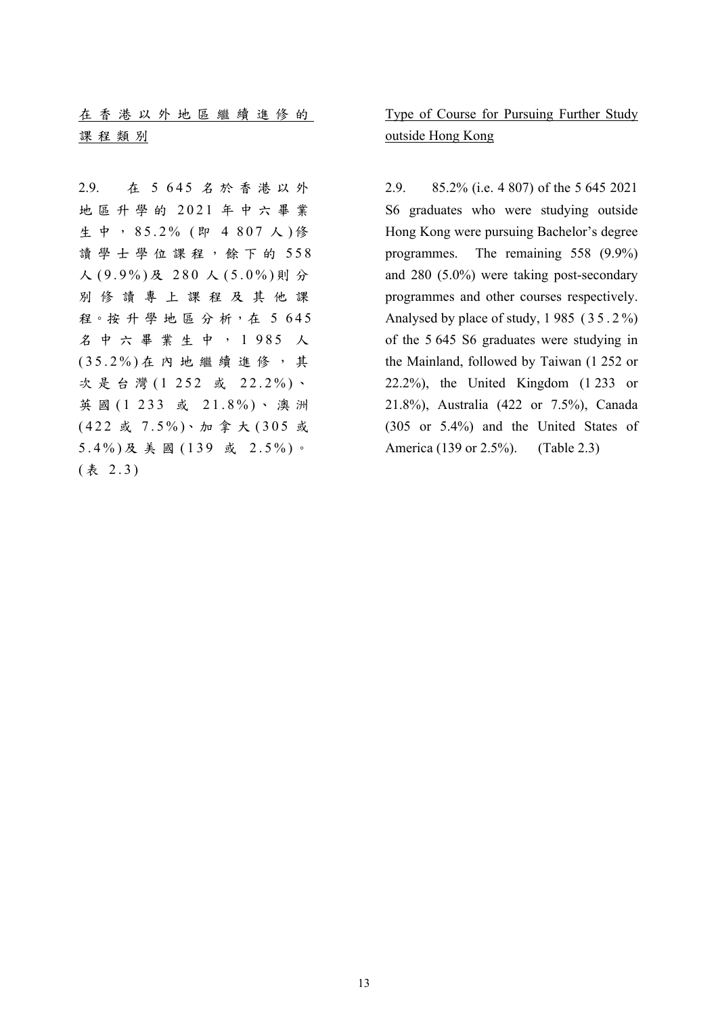|  |      | 在香港以外地區繼續進修的 |  |  |  |  |  |
|--|------|--------------|--|--|--|--|--|
|  | 課程類別 |              |  |  |  |  |  |

2.9. 在 5 645 名於香港以外 地區升學的 2021 年中六畢業 生中, 85.2% (即 4 807 人)修 讀學士學位課程,餘下的 558 人 (9.9%) 及 280 人 (5.0%) 則 分 別修讀專上課程及其他課 程。按升學地區分析,在5645 名中六畢業生中, 1 985 人 (35.2%) 在內地繼續進修,其 次是台灣 (1 252 或 22.2%) 、 英 國 (1 233 或 21.8%) 、澳洲 (422 或 7.5%)、加 拿 大 (305 或 5.4%) 及美國 (139 或 2.5%) 。 ( 表 2.3)

 Type of Course for Pursuing Further Study outside Hong Kong

2.9. 85.2% (i.e. 4 807) of the 5 645 2021 S6 graduates who were studying outside Hong Kong were pursuing Bachelor's degree programmes. The remaining 558 (9.9%) and 280 (5.0%) were taking post-secondary programmes and other courses respectively. Analysed by place of study, 1 985 ( 3 5 . 2 %) of the 5 645 S6 graduates were studying in the Mainland, followed by Taiwan (1 252 or 22.2%), the United Kingdom (1 233 or 21.8%), Australia (422 or 7.5%), Canada (305 or 5.4%) and the United States of America (139 or 2.5%). (Table 2.3)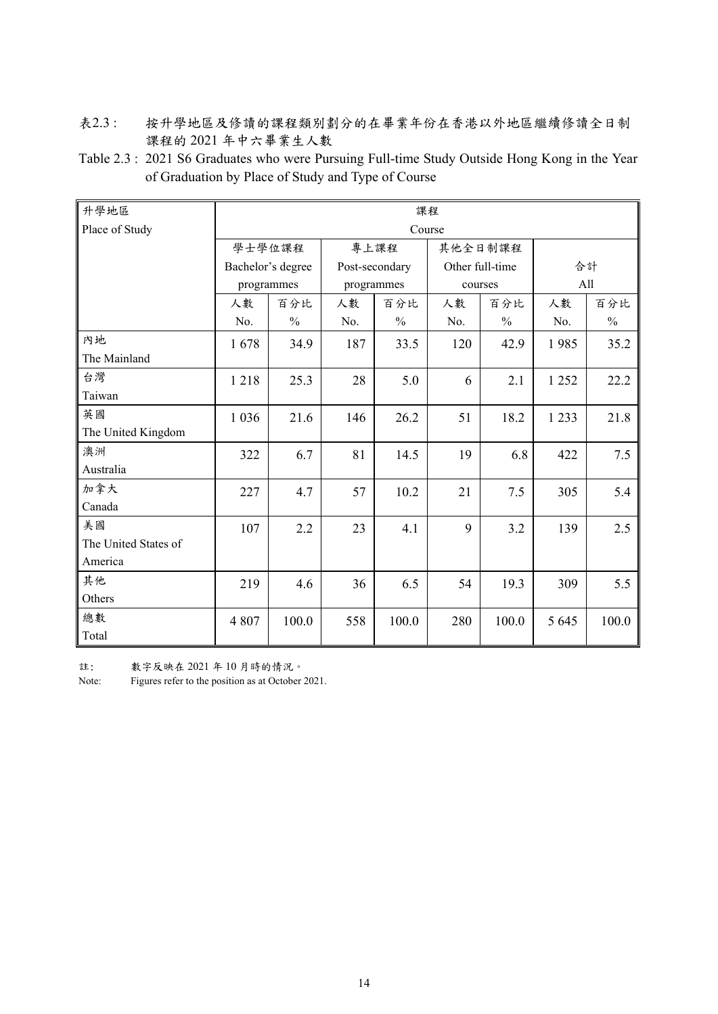- 表2.3 : 按升學地區及修讀的課程類別劃分的在畢業年份在香港以外地區繼續修讀全日制 課程的 2021 年中六畢業生人數
- Table 2.3 : 2021 S6 Graduates who were Pursuing Full-time Study Outside Hong Kong in the Year of Graduation by Place of Study and Type of Course

| 升學地區                 | 課程         |                   |     |                |         |                 |         |               |  |  |
|----------------------|------------|-------------------|-----|----------------|---------|-----------------|---------|---------------|--|--|
| Place of Study       | Course     |                   |     |                |         |                 |         |               |  |  |
|                      | 學士學位課程     |                   |     | 專上課程           | 其他全日制課程 |                 |         |               |  |  |
|                      |            | Bachelor's degree |     | Post-secondary |         | Other full-time |         | 合計            |  |  |
|                      | programmes |                   |     | programmes     |         | courses         | All     |               |  |  |
|                      | 人數         | 百分比               | 人數  | 百分比            | 人數      | 百分比             | 人數      | 百分比           |  |  |
|                      | No.        | $\frac{0}{0}$     | No. | $\frac{0}{0}$  | No.     | $\frac{0}{0}$   | No.     | $\frac{0}{0}$ |  |  |
| 內地                   | 1678       | 34.9              | 187 | 33.5           | 120     | 42.9            | 1985    | 35.2          |  |  |
| The Mainland         |            |                   |     |                |         |                 |         |               |  |  |
| 台灣                   | 1218       | 25.3              | 28  | 5.0            | 6       | 2.1             | 1 2 5 2 | 22.2          |  |  |
| Taiwan               |            |                   |     |                |         |                 |         |               |  |  |
| 英國                   | 1 0 3 6    | 21.6              | 146 | 26.2           | 51      | 18.2            | 1 2 3 3 | 21.8          |  |  |
| The United Kingdom   |            |                   |     |                |         |                 |         |               |  |  |
| 澳洲                   | 322        | 6.7               | 81  | 14.5           | 19      | 6.8             | 422     | 7.5           |  |  |
| Australia            |            |                   |     |                |         |                 |         |               |  |  |
| 加拿大                  | 227        | 4.7               | 57  | 10.2           | 21      | 7.5             | 305     | 5.4           |  |  |
| Canada               |            |                   |     |                |         |                 |         |               |  |  |
| 美國                   | 107        | 2.2               | 23  | 4.1            | 9       | 3.2             | 139     | 2.5           |  |  |
| The United States of |            |                   |     |                |         |                 |         |               |  |  |
| America              |            |                   |     |                |         |                 |         |               |  |  |
| 其他                   | 219        | 4.6               | 36  | 6.5            | 54      | 19.3            | 309     | 5.5           |  |  |
| Others               |            |                   |     |                |         |                 |         |               |  |  |
| 總數                   | 4 8 0 7    | 100.0             | 558 | 100.0          | 280     | 100.0           | 5 6 4 5 | 100.0         |  |  |
| Total                |            |                   |     |                |         |                 |         |               |  |  |

註: 數字反映在 2021 年 10 月時的情況。

Note: Figures refer to the position as at October 2021.